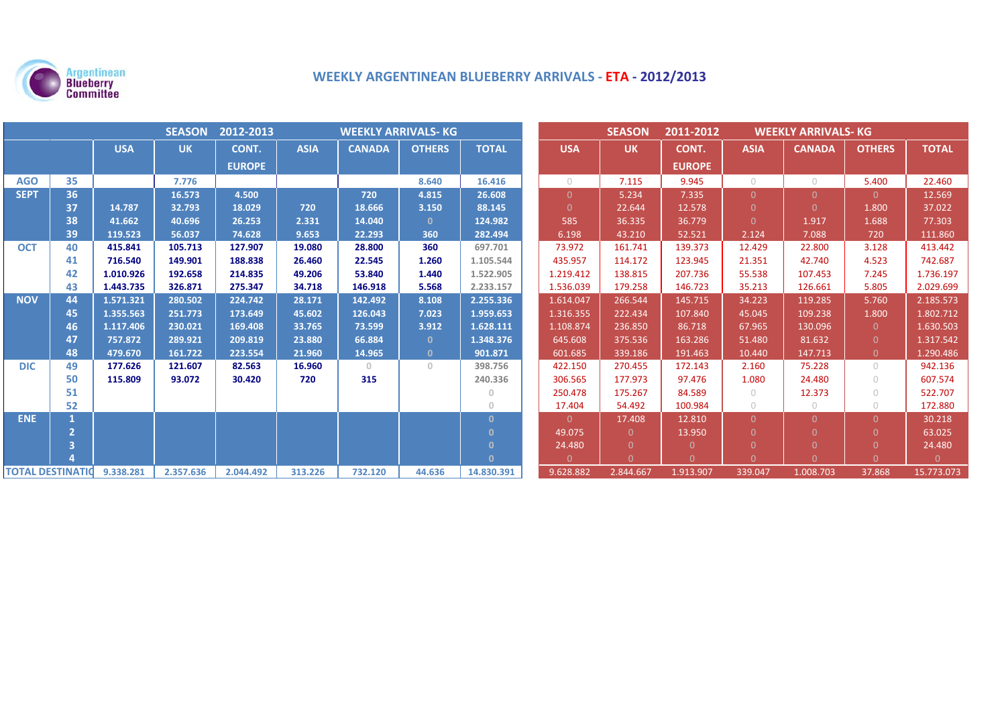

# **WEEKLY ARGENTINEAN BLUEBERRY ARRIVALS ‐ ETA ‐ 2012/2013**

| <b>SEASON</b><br>2012-2013<br><b>WEEKLY ARRIVALS- KG</b> |    |            |           |               |             |               |               |              | <b>SEASON</b>  | 2011-2012<br><b>WEEKLY ARRIVALS- KG</b> |               |             |               |                |              |
|----------------------------------------------------------|----|------------|-----------|---------------|-------------|---------------|---------------|--------------|----------------|-----------------------------------------|---------------|-------------|---------------|----------------|--------------|
|                                                          |    | <b>USA</b> | <b>UK</b> | CONT.         | <b>ASIA</b> | <b>CANADA</b> | <b>OTHERS</b> | <b>TOTAL</b> | <b>USA</b>     | <b>UK</b>                               | CONT.         | <b>ASIA</b> | <b>CANADA</b> | <b>OTHERS</b>  | <b>TOTAL</b> |
|                                                          |    |            |           | <b>EUROPE</b> |             |               |               |              |                |                                         | <b>EUROPE</b> |             |               |                |              |
| <b>AGO</b>                                               | 35 |            | 7.776     |               |             |               | 8.640         | 16.416       | $\bigcirc$     | 7.115                                   | 9.945         | $\bigcirc$  | $\circ$       | 5.400          | 22.460       |
| <b>SEPT</b>                                              | 36 |            | 16.573    | 4.500         |             | 720           | 4.815         | 26.608       | $\Omega$       | 5.234                                   | 7.335         | $\Omega$    | $\Omega$      | $\Omega$       | 12.569       |
|                                                          | 37 | 14.787     | 32.793    | 18.029        | 720         | 18.666        | 3.150         | 88.145       | $\Omega$       | 22.644                                  | 12.578        | $\Omega$    | $\Omega$      | 1.800          | 37.022       |
|                                                          | 38 | 41.662     | 40.696    | 26.253        | 2.331       | 14.040        | $\mathbf{0}$  | 124.982      | 585            | 36.335                                  | 36.779        | $\Omega$    | 1.917         | 1.688          | 77.303       |
|                                                          | 39 | 119.523    | 56.037    | 74.628        | 9.653       | 22.293        | 360           | 282.494      | 6.198          | 43.210                                  | 52.521        | 2.124       | 7.088         | 720            | 111.860      |
| <b>OCT</b>                                               | 40 | 415.841    | 105.713   | 127.907       | 19.080      | 28.800        | 360           | 697.701      | 73.972         | 161.741                                 | 139.373       | 12.429      | 22.800        | 3.128          | 413.442      |
|                                                          | 41 | 716.540    | 149.901   | 188.838       | 26.460      | 22.545        | 1.260         | 1.105.544    | 435.957        | 114.172                                 | 123.945       | 21.351      | 42.740        | 4.523          | 742.687      |
|                                                          | 42 | 1.010.926  | 192.658   | 214.835       | 49.206      | 53.840        | 1.440         | 1.522.905    | 1.219.412      | 138.815                                 | 207.736       | 55.538      | 107.453       | 7.245          | 1.736.197    |
|                                                          | 43 | 1.443.735  | 326.871   | 275.347       | 34.718      | 146.918       | 5.568         | 2.233.157    | 1.536.039      | 179.258                                 | 146.723       | 35.213      | 126.661       | 5.805          | 2.029.699    |
| <b>NOV</b>                                               | 44 | 1.571.321  | 280.502   | 224.742       | 28.171      | 142.492       | 8.108         | 2.255.336    | 1.614.047      | 266.544                                 | 145.715       | 34.223      | 119.285       | 5.760          | 2.185.573    |
|                                                          | 45 | 1.355.563  | 251.773   | 173.649       | 45.602      | 126.043       | 7.023         | 1.959.653    | 1.316.355      | 222.434                                 | 107.840       | 45.045      | 109.238       | 1.800          | 1.802.712    |
|                                                          | 46 | 1.117.406  | 230.021   | 169.408       | 33.765      | 73.599        | 3.912         | 1.628.111    | 1.108.874      | 236.850                                 | 86.718        | 67.965      | 130.096       | $\overline{0}$ | 1.630.503    |
|                                                          | 47 | 757.872    | 289.921   | 209.819       | 23.880      | 66.884        | $\mathbf{0}$  | 1.348.376    | 645.608        | 375.536                                 | 163.286       | 51.480      | 81.632        | $\Omega$       | 1.317.542    |
|                                                          | 48 | 479.670    | 161.722   | 223.554       | 21.960      | 14.965        | $\mathbf{0}$  | 901.871      | 601.685        | 339.186                                 | 191.463       | 10.440      | 147.713       | $\overline{0}$ | 1.290.486    |
| <b>DIC</b>                                               | 49 | 177.626    | 121.607   | 82.563        | 16.960      | $\circ$       | $\circ$       | 398.756      | 422.150        | 270.455                                 | 172.143       | 2.160       | 75.228        | $\bigcirc$     | 942.136      |
|                                                          | 50 | 115.809    | 93.072    | 30.420        | 720         | 315           |               | 240.336      | 306.565        | 177.973                                 | 97.476        | 1.080       | 24.480        | $\bigcap$      | 607.574      |
|                                                          | 51 |            |           |               |             |               |               | $\Omega$     | 250.478        | 175.267                                 | 84.589        | $\bigcirc$  | 12.373        | $\bigcirc$     | 522.707      |
|                                                          | 52 |            |           |               |             |               |               | $\Omega$     | 17.404         | 54.492                                  | 100.984       | $\bigcirc$  | $\circ$       | $\bigcirc$     | 172.880      |
| <b>ENE</b>                                               |    |            |           |               |             |               |               | $\mathbf{0}$ | $\overline{0}$ | 17.408                                  | 12.810        | $\Omega$    | $\Omega$      | $\Omega$       | 30.218       |
|                                                          |    |            |           |               |             |               |               | $\Omega$     | 49.075         | $\Omega$                                | 13.950        | $\Omega$    |               | $\Omega$       | 63.025       |
|                                                          | Β  |            |           |               |             |               |               | $\Omega$     | 24.480         | $\Omega$                                | $\Omega$      |             |               |                | 24.480       |
|                                                          |    |            |           |               |             |               |               | $\Omega$     | $\Omega$       | $\Omega$                                | $\Omega$      | $\Omega$    |               |                | $\Omega$     |
| <b>TOTAL DESTINATIO</b>                                  |    | 9.338.281  | 2.357.636 | 2.044.492     | 313.226     | 732.120       | 44.636        | 14.830.391   | 9.628.882      | 2.844.667                               | 1.913.907     | 339.047     | 1.008.703     | 37.868         | 15.773.073   |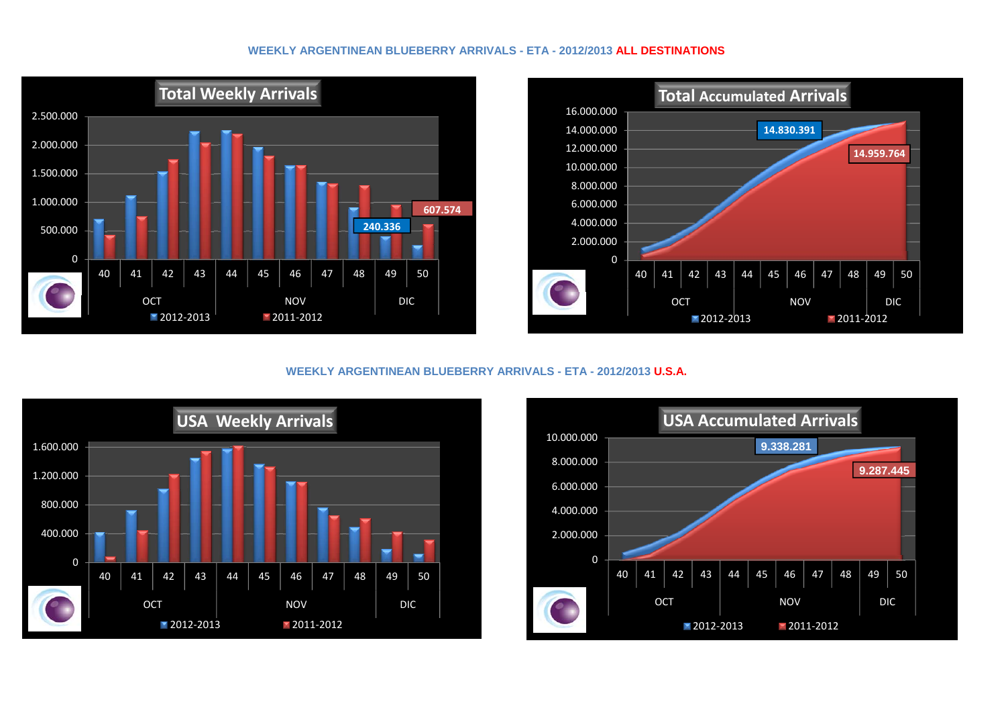### **WEEKLY ARGENTINEAN BLUEBERRY ARRIVALS - ETA - 2012/2013 ALL DESTINATIONS**





# **WEEKLY ARGENTINEAN BLUEBERRY ARRIVALS - ETA - 2012/2013 U.S.A.**



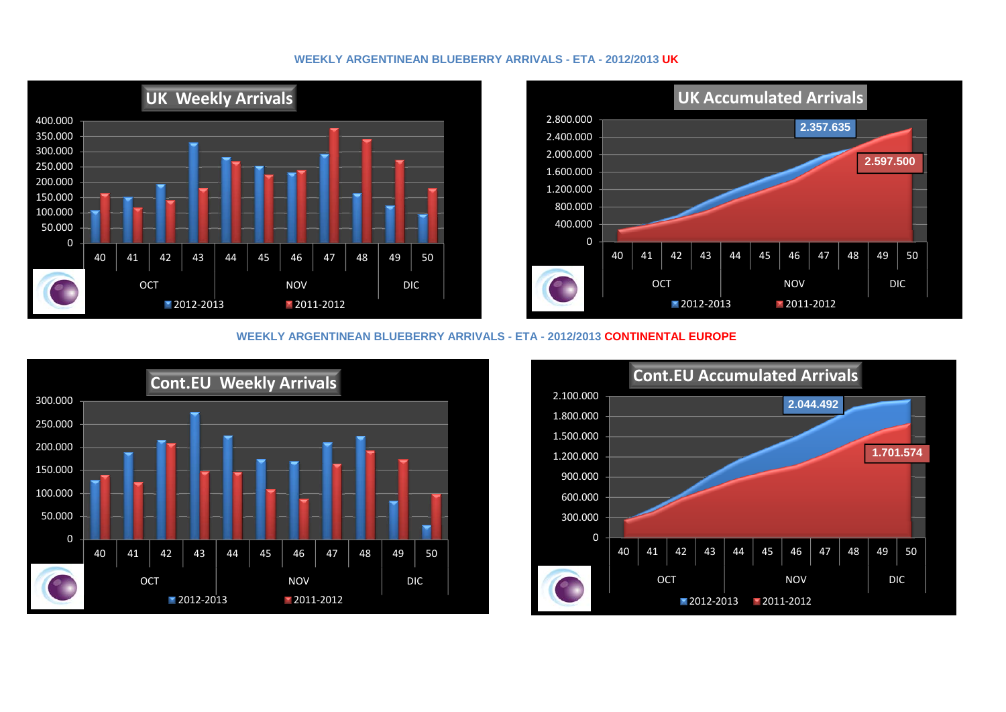# **WEEKLY ARGENTINEAN BLUEBERRY ARRIVALS - ETA - 2012/2013 UK**





#### **WEEKLY ARGENTINEAN BLUEBERRY ARRIVALS - ETA - 2012/2013 CONTINENTAL EUROPE**